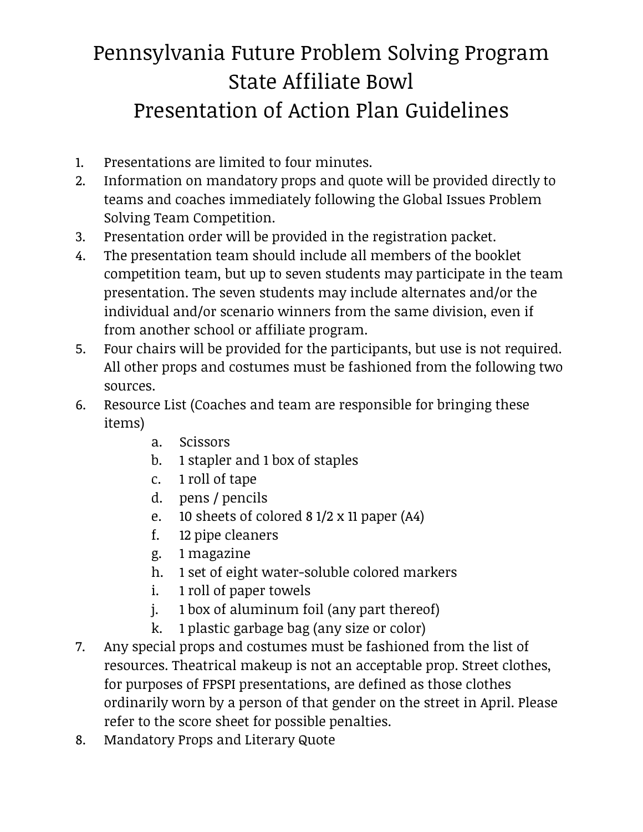## Pennsylvania Future Problem Solving Program State Affiliate Bowl Presentation of Action Plan Guidelines

- 1. Presentations are limited to four minutes.
- 2. Information on mandatory props and quote will be provided directly to teams and coaches immediately following the Global Issues Problem Solving Team Competition.
- 3. Presentation order will be provided in the registration packet.
- 4. The presentation team should include all members of the booklet competition team, but up to seven students may participate in the team presentation. The seven students may include alternates and/or the individual and/or scenario winners from the same division, even if from another school or affiliate program.
- 5. Four chairs will be provided for the participants, but use is not required. All other props and costumes must be fashioned from the following two sources.
- 6. Resource List (Coaches and team are responsible for bringing these items)
	- a. Scissors
	- b. 1 stapler and 1 box of staples
	- c. 1 roll of tape
	- d. pens / pencils
	- e. 10 sheets of colored 8 1/2 x 11 paper (A4)
	- f. 12 pipe cleaners
	- g. 1 magazine
	- h. 1 set of eight water-soluble colored markers
	- i. 1 roll of paper towels
	- j. 1 box of aluminum foil (any part thereof)
	- k. 1 plastic garbage bag (any size or color)
- 7. Any special props and costumes must be fashioned from the list of resources. Theatrical makeup is not an acceptable prop. Street clothes, for purposes of FPSPI presentations, are defined as those clothes ordinarily worn by a person of that gender on the street in April. Please refer to the score sheet for possible penalties.
- 8. Mandatory Props and Literary Quote